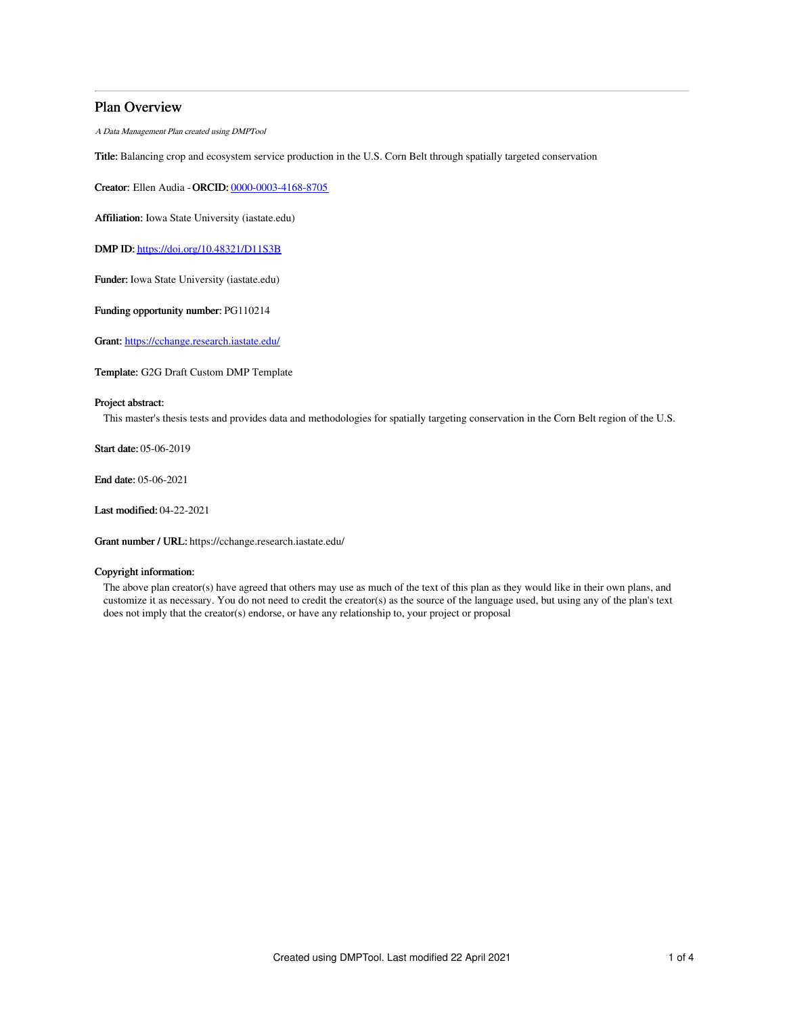## Plan Overview

A Data Management Plan created using DMPTool

Title: Balancing crop and ecosystem service production in the U.S. Corn Belt through spatially targeted conservation

Creator: Ellen Audia -ORCID: [0000-0003-4168-8705](https://orcid.org/0000-0003-4168-8705)

Affiliation: Iowa State University (iastate.edu)

DMP ID: <https://doi.org/10.48321/D11S3B>

Funder: Iowa State University (iastate.edu)

Funding opportunity number: PG110214

Grant: <https://cchange.research.iastate.edu/>

Template: G2G Draft Custom DMP Template

### Project abstract:

This master's thesis tests and provides data and methodologies for spatially targeting conservation in the Corn Belt region of the U.S.

Start date: 05-06-2019

End date: 05-06-2021

Last modified: 04-22-2021

Grant number / URL: https://cchange.research.iastate.edu/

### Copyright information:

The above plan creator(s) have agreed that others may use as much of the text of this plan as they would like in their own plans, and customize it as necessary. You do not need to credit the creator(s) as the source of the language used, but using any of the plan's text does not imply that the creator(s) endorse, or have any relationship to, your project or proposal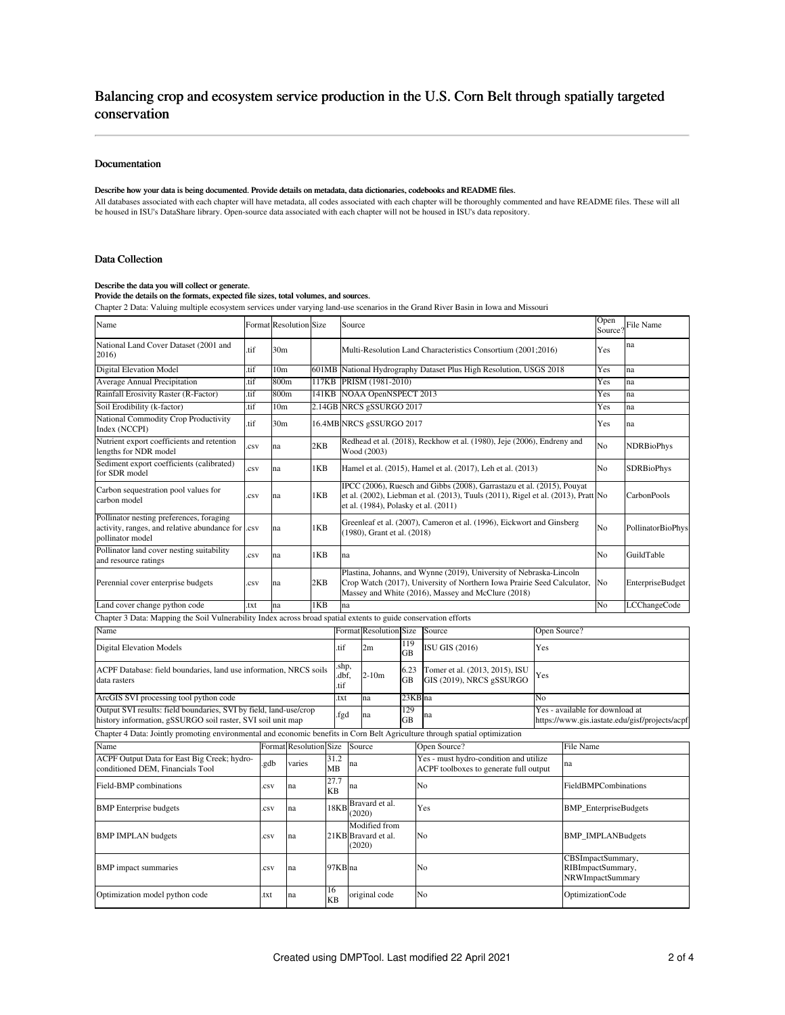# Balancing crop and ecosystem service production in the U.S. Corn Belt through spatially targeted conservation

### Documentation

### Describe how your data is being documented. Provide details on metadata, data dictionaries, codebooks and README files.

All databases associated with each chapter will have metadata, all codes associated with each chapter will be thoroughly commented and have README files. These will all be housed in ISU's DataShare library. Open-source data associated with each chapter will not be housed in ISU's data repository.

### Data Collection

#### Describe the data you will collect or generate.

### Provide the details on the formats, expected file sizes, total volumes, and sources.

Chapter 2 Data: Valuing multiple ecosystem services under varying land-use scenarios in the Grand River Basin in Iowa and Missouri

| Name                                                                                                                             |          | Format Resolution Size            |       |            | Source                                                                                                                                                                                               |            |         |                                                                                        |              | Open<br>Source?                 | File Name                                                  |                                                |  |
|----------------------------------------------------------------------------------------------------------------------------------|----------|-----------------------------------|-------|------------|------------------------------------------------------------------------------------------------------------------------------------------------------------------------------------------------------|------------|---------|----------------------------------------------------------------------------------------|--------------|---------------------------------|------------------------------------------------------------|------------------------------------------------|--|
| National Land Cover Dataset (2001 and<br>2016)                                                                                   | tif      | 30m                               |       |            | Multi-Resolution Land Characteristics Consortium (2001;2016)                                                                                                                                         |            |         |                                                                                        |              | Yes                             | na                                                         |                                                |  |
| <b>Digital Elevation Model</b>                                                                                                   | .tif     | 10 <sub>m</sub>                   |       |            | 601MB National Hydrography Dataset Plus High Resolution, USGS 2018                                                                                                                                   |            |         |                                                                                        |              | Yes                             | na                                                         |                                                |  |
| Average Annual Precipitation                                                                                                     | .tif     | 800 <sub>m</sub>                  | 117KB |            | PRISM (1981-2010)                                                                                                                                                                                    |            |         |                                                                                        |              | Yes                             | na                                                         |                                                |  |
| Rainfall Erosivity Raster (R-Factor)                                                                                             | .tif     | 800 <sub>m</sub>                  | 141KB |            | NOAA OpenNSPECT 2013                                                                                                                                                                                 |            |         |                                                                                        |              | Yes                             | na                                                         |                                                |  |
| Soil Erodibility (k-factor)                                                                                                      | .tif     | 10 <sub>m</sub>                   |       |            | 2.14GB NRCS gSSURGO 2017                                                                                                                                                                             |            |         |                                                                                        |              | Yes                             | na                                                         |                                                |  |
| National Commodity Crop Productivity<br>Index (NCCPI)                                                                            | tif.     | 30m                               |       |            | 16.4MB NRCS gSSURGO 2017                                                                                                                                                                             |            |         |                                                                                        |              | Yes                             | na                                                         |                                                |  |
| Nutrient export coefficients and retention<br>lengths for NDR model                                                              | csv      | na                                | 2KB   |            | Redhead et al. (2018), Reckhow et al. (1980), Jeje (2006), Endreny and<br>Wood (2003)                                                                                                                |            |         |                                                                                        |              | No                              | <b>NDRBioPhys</b>                                          |                                                |  |
| Sediment export coefficients (calibrated)<br>for SDR model                                                                       | csv.     | na                                | 1KB   |            | Hamel et al. (2015), Hamel et al. (2017), Leh et al. (2013)                                                                                                                                          |            |         |                                                                                        |              | No                              | <b>SDRBioPhys</b>                                          |                                                |  |
| Carbon sequestration pool values for<br>carbon model                                                                             | csv      | na                                | 1KB   |            | IPCC (2006), Ruesch and Gibbs (2008), Garrastazu et al. (2015), Pouyat<br>et al. (2002), Liebman et al. (2013), Tuuls (2011), Rigel et al. (2013), Pratt No<br>et al. (1984), Polasky et al. (2011)  |            |         |                                                                                        |              |                                 | CarbonPools                                                |                                                |  |
| Pollinator nesting preferences, foraging<br>activity, ranges, and relative abundance for csv<br>pollinator model                 |          | na                                | 1KB   |            | Greenleaf et al. (2007), Cameron et al. (1996), Eickwort and Ginsberg<br>(1980), Grant et al. (2018)                                                                                                 |            |         |                                                                                        |              | No                              | PollinatorBioPhys                                          |                                                |  |
| Pollinator land cover nesting suitability<br>and resource ratings                                                                | $\cos v$ | na                                | 1KB   |            | na                                                                                                                                                                                                   |            |         |                                                                                        |              | No                              | GuildTable                                                 |                                                |  |
| Perennial cover enterprise budgets                                                                                               | .csv     | na                                | 2KB   |            | Plastina, Johanns, and Wynne (2019), University of Nebraska-Lincoln<br>Crop Watch (2017), University of Northern Iowa Prairie Seed Calculator,<br>Massey and White (2016), Massey and McClure (2018) |            |         |                                                                                        |              | No                              | <b>EnterpriseBudget</b>                                    |                                                |  |
| Land cover change python code                                                                                                    | .txt     | na                                | 1KB   |            | na                                                                                                                                                                                                   |            |         |                                                                                        |              | No                              | LCChangeCode                                               |                                                |  |
| Chapter 3 Data: Mapping the Soil Vulnerability Index across broad spatial extents to guide conservation efforts                  |          |                                   |       |            |                                                                                                                                                                                                      |            |         |                                                                                        |              |                                 |                                                            |                                                |  |
| Name                                                                                                                             |          |                                   |       |            | Format Resolution Size                                                                                                                                                                               |            |         | Source                                                                                 | Open Source? |                                 |                                                            |                                                |  |
| Digital Elevation Models                                                                                                         |          |                                   |       | .tif       | 2m                                                                                                                                                                                                   | 119<br>GB  |         | ISU GIS (2016)                                                                         | Yes          |                                 |                                                            |                                                |  |
| ACPF Database: field boundaries, land use information, NRCS soils<br>data rasters<br>.tif                                        |          |                                   |       |            | shp,<br>$2 - 10m$<br>dbf,                                                                                                                                                                            | 6.23<br>GB |         | Tomer et al. (2013, 2015), ISU<br>GIS (2019), NRCS gSSURGO                             | Yes          |                                 |                                                            |                                                |  |
| ArcGIS SVI processing tool python code                                                                                           |          |                                   |       | .txt       | na                                                                                                                                                                                                   |            | 23KB na |                                                                                        | No           |                                 |                                                            |                                                |  |
| Output SVI results: field boundaries, SVI by field, land-use/crop<br>history information, gSSURGO soil raster, SVI soil unit map |          |                                   |       |            | .fgd<br>na                                                                                                                                                                                           | 129<br>GB  | na      |                                                                                        |              | Yes - available for download at |                                                            | https://www.gis.iastate.edu/gisf/projects/acpf |  |
| Chapter 4 Data: Jointly promoting environmental and economic benefits in Corn Belt Agriculture through spatial optimization      |          |                                   |       |            |                                                                                                                                                                                                      |            |         |                                                                                        |              |                                 |                                                            |                                                |  |
| Name                                                                                                                             |          | <b>Resolution Size</b><br>Formatl |       |            | Source                                                                                                                                                                                               |            |         | Open Source?                                                                           |              | File Name                       |                                                            |                                                |  |
| ACPF Output Data for East Big Creek; hydro-<br>conditioned DEM, Financials Tool                                                  | .gdb     | varies                            |       | 31.2<br>MВ | na                                                                                                                                                                                                   |            |         | Yes - must hydro-condition and utilize<br>na<br>ACPF toolboxes to generate full output |              |                                 |                                                            |                                                |  |
| Field-BMP combinations                                                                                                           | .csv     | na                                |       | 27.7<br>KВ | na                                                                                                                                                                                                   |            | No      |                                                                                        |              |                                 | FieldBMPCombinations                                       |                                                |  |
| <b>BMP</b> Enterprise budgets                                                                                                    | .csv     | na                                |       | 18KF       | Bravard et al.<br>(2020)                                                                                                                                                                             |            |         | Yes                                                                                    |              |                                 | <b>BMP_EnterpriseBudgets</b>                               |                                                |  |
| <b>BMP IMPLAN</b> budgets                                                                                                        | .csv     | na                                |       |            | Modified from<br>21KB Bravard et al.<br>(2020)                                                                                                                                                       |            |         | No                                                                                     |              |                                 | <b>BMP_IMPLANBudgets</b>                                   |                                                |  |
| <b>BMP</b> impact summaries                                                                                                      | .csv     | na                                |       |            | 97KB na                                                                                                                                                                                              |            |         | No                                                                                     |              |                                 | CBSImpactSummary,<br>RIBImpactSummary,<br>NRWImpactSummary |                                                |  |
| Optimization model python code                                                                                                   |          | 16<br>.txt<br>na<br><b>KB</b>     |       |            | original code                                                                                                                                                                                        |            | No      |                                                                                        |              |                                 | OptimizationCode                                           |                                                |  |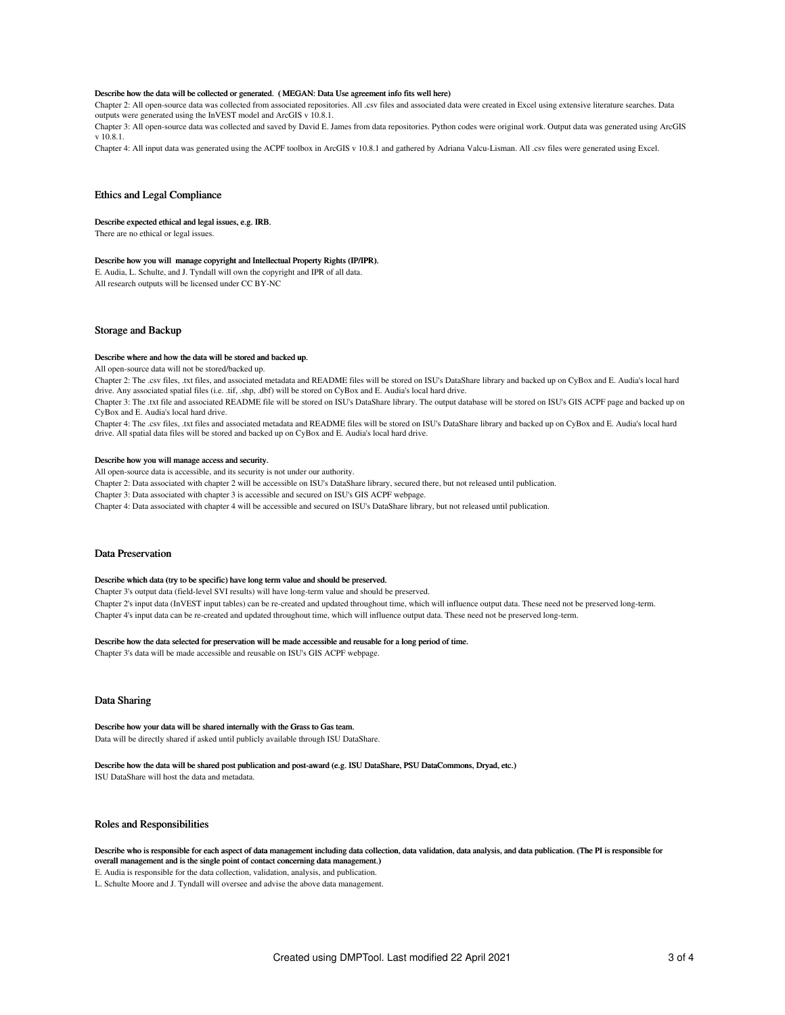#### Describe how the data will be collected or generated. ( MEGAN: Data Use agreement info fits well here)

Chapter 2: All open-source data was collected from associated repositories. All .csv files and associated data were created in Excel using extensive literature searches. Data outputs were generated using the InVEST model and ArcGIS v 10.8.1.

Chapter 3: All open-source data was collected and saved by David E. James from data repositories. Python codes were original work. Output data was generated using ArcGIS v 10.8.1.

Chapter 4: All input data was generated using the ACPF toolbox in ArcGIS v 10.8.1 and gathered by Adriana Valcu-Lisman. All .csv files were generated using Excel.

#### Ethics and Legal Compliance

#### Describe expected ethical and legal issues, e.g. IRB.

There are no ethical or legal issues.

#### Describe how you will manage copyright and Intellectual Property Rights (IP/IPR).

E. Audia, L. Schulte, and J. Tyndall will own the copyright and IPR of all data. All research outputs will be licensed under CC BY-NC

#### Storage and Backup

#### Describe where and how the data will be stored and backed up.

All open-source data will not be stored/backed up.

Chapter 2: The .csv files, .txt files, and associated metadata and README files will be stored on ISU's DataShare library and backed up on CyBox and E. Audia's local hard drive. Any associated spatial files (i.e. .tif, .shp, .dbf) will be stored on CyBox and E. Audia's local hard drive.

Chapter 3: The .txt file and associated README file will be stored on ISU's DataShare library. The output database will be stored on ISU's GIS ACPF page and backed up on CyBox and E. Audia's local hard drive.

Chapter 4: The .csv files, .txt files and associated metadata and README files will be stored on ISU's DataShare library and backed up on CyBox and E. Audia's local hard drive. All spatial data files will be stored and backed up on CyBox and E. Audia's local hard drive.

#### Describe how you will manage access and security.

All open-source data is accessible, and its security is not under our authority.

Chapter 2: Data associated with chapter 2 will be accessible on ISU's DataShare library, secured there, but not released until publication.

Chapter 3: Data associated with chapter 3 is accessible and secured on ISU's GIS ACPF webpage.

Chapter 4: Data associated with chapter 4 will be accessible and secured on ISU's DataShare library, but not released until publication.

#### Data Preservation

#### Describe which data (try to be specific) have long term value and should be preserved.

Chapter 3's output data (field-level SVI results) will have long-term value and should be preserved.

Chapter 2's input data (InVEST input tables) can be re-created and updated throughout time, which will influence output data. These need not be preserved long-term. Chapter 4's input data can be re-created and updated throughout time, which will influence output data. These need not be preserved long-term.

#### Describe how the data selected for preservation will be made accessible and reusable for a long period of time.

Chapter 3's data will be made accessible and reusable on ISU's GIS ACPF webpage.

### Data Sharing

Describe how your data will be shared internally with the Grass to Gas team. Data will be directly shared if asked until publicly available through ISU DataShare.

### Describe how the data will be shared post publication and post-award (e.g. ISU DataShare, PSU DataCommons, Dryad, etc.)

ISU DataShare will host the data and metadata.

### Roles and Responsibilities

Describe who is responsible for each aspect of data management including data collection, data validation, data analysis, and data publication. (The PI is responsible for overall management and is the single point of contact concerning data management.) E. Audia is responsible for the data collection, validation, analysis, and publication.

L. Schulte Moore and J. Tyndall will oversee and advise the above data management.